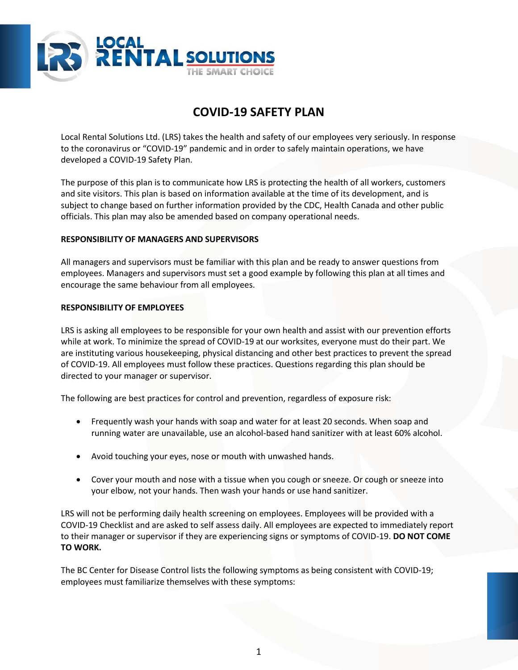

# **COVID-19 SAFETY PLAN**

Local Rental Solutions Ltd. (LRS) takes the health and safety of our employees very seriously. In response to the coronavirus or "COVID-19" pandemic and in order to safely maintain operations, we have developed a COVID-19 Safety Plan.

The purpose of this plan is to communicate how LRS is protecting the health of all workers, customers and site visitors. This plan is based on information available at the time of its development, and is subject to change based on further information provided by the CDC, Health Canada and other public officials. This plan may also be amended based on company operational needs.

# **RESPONSIBILITY OF MANAGERS AND SUPERVISORS**

All managers and supervisors must be familiar with this plan and be ready to answer questions from employees. Managers and supervisors must set a good example by following this plan at all times and encourage the same behaviour from all employees.

#### **RESPONSIBILITY OF EMPLOYEES**

LRS is asking all employees to be responsible for your own health and assist with our prevention efforts while at work. To minimize the spread of COVID-19 at our worksites, everyone must do their part. We are instituting various housekeeping, physical distancing and other best practices to prevent the spread of COVID-19. All employees must follow these practices. Questions regarding this plan should be directed to your manager or supervisor.

The following are best practices for control and prevention, regardless of exposure risk:

- Frequently wash your hands with soap and water for at least 20 seconds. When soap and running water are unavailable, use an alcohol-based hand sanitizer with at least 60% alcohol.
- Avoid touching your eyes, nose or mouth with unwashed hands.
- Cover your mouth and nose with a tissue when you cough or sneeze. Or cough or sneeze into your elbow, not your hands. Then wash your hands or use hand sanitizer.

LRS will not be performing daily health screening on employees. Employees will be provided with a COVID-19 Checklist and are asked to self assess daily. All employees are expected to immediately report to their manager or supervisor if they are experiencing signs or symptoms of COVID-19. **DO NOT COME TO WORK.** 

The BC Center for Disease Control lists the following symptoms as being consistent with COVID-19; employees must familiarize themselves with these symptoms: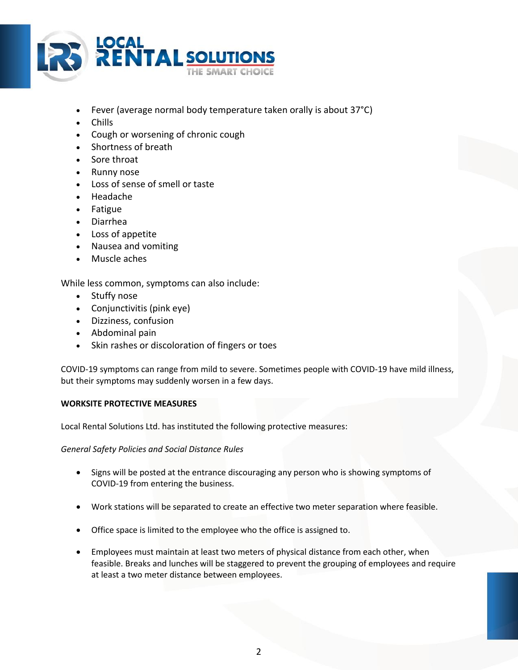

- Fever (average normal body temperature taken orally is about 37°C)
- Chills
- Cough or worsening of chronic cough
- Shortness of breath
- Sore throat
- Runny nose
- Loss of sense of smell or taste
- Headache
- Fatigue
- Diarrhea
- Loss of appetite
- Nausea and vomiting
- Muscle aches

While less common, symptoms can also include:

- Stuffy nose
- Conjunctivitis (pink eye)
- Dizziness, confusion
- Abdominal pain
- Skin rashes or discoloration of fingers or toes

COVID-19 symptoms can range from mild to severe. Sometimes people with COVID-19 have mild illness, but their symptoms may suddenly worsen in a few days.

# **WORKSITE PROTECTIVE MEASURES**

Local Rental Solutions Ltd. has instituted the following protective measures:

*General Safety Policies and Social Distance Rules*

- Signs will be posted at the entrance discouraging any person who is showing symptoms of COVID-19 from entering the business.
- Work stations will be separated to create an effective two meter separation where feasible.
- Office space is limited to the employee who the office is assigned to.
- Employees must maintain at least two meters of physical distance from each other, when feasible. Breaks and lunches will be staggered to prevent the grouping of employees and require at least a two meter distance between employees.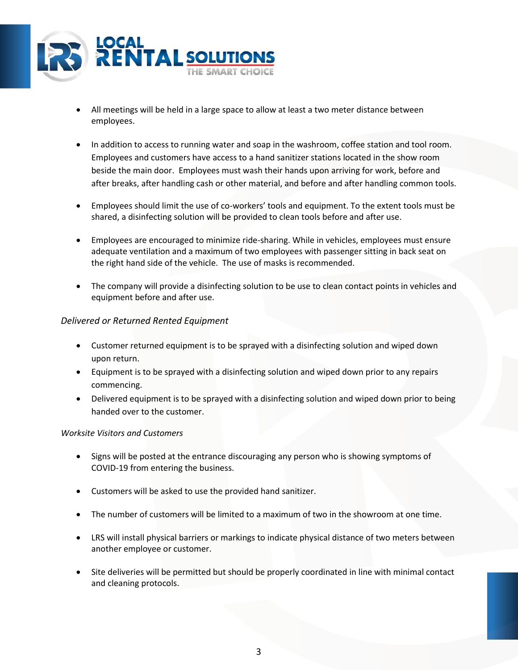

- All meetings will be held in a large space to allow at least a two meter distance between employees.
- In addition to access to running water and soap in the washroom, coffee station and tool room. Employees and customers have access to a hand sanitizer stations located in the show room beside the main door. Employees must wash their hands upon arriving for work, before and after breaks, after handling cash or other material, and before and after handling common tools.
- Employees should limit the use of co-workers' tools and equipment. To the extent tools must be shared, a disinfecting solution will be provided to clean tools before and after use.
- Employees are encouraged to minimize ride-sharing. While in vehicles, employees must ensure adequate ventilation and a maximum of two employees with passenger sitting in back seat on the right hand side of the vehicle. The use of masks is recommended.
- The company will provide a disinfecting solution to be use to clean contact points in vehicles and equipment before and after use.

# *Delivered or Returned Rented Equipment*

- Customer returned equipment is to be sprayed with a disinfecting solution and wiped down upon return.
- Equipment is to be sprayed with a disinfecting solution and wiped down prior to any repairs commencing.
- Delivered equipment is to be sprayed with a disinfecting solution and wiped down prior to being handed over to the customer.

# *Worksite Visitors and Customers*

- Signs will be posted at the entrance discouraging any person who is showing symptoms of COVID-19 from entering the business.
- Customers will be asked to use the provided hand sanitizer.
- The number of customers will be limited to a maximum of two in the showroom at one time.
- LRS will install physical barriers or markings to indicate physical distance of two meters between another employee or customer.
- Site deliveries will be permitted but should be properly coordinated in line with minimal contact and cleaning protocols.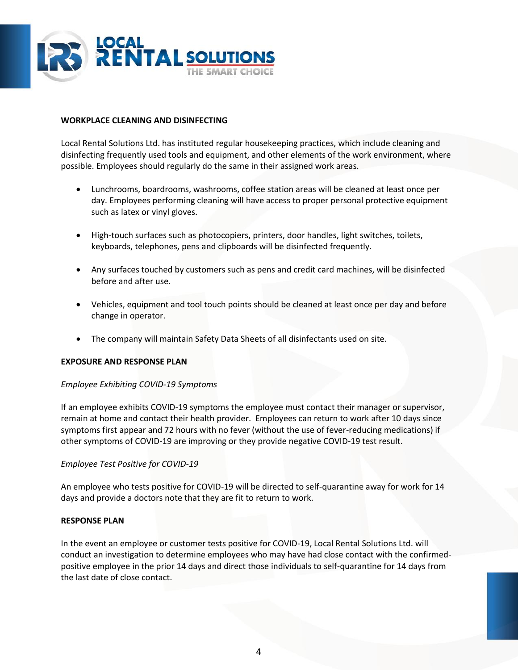

# **WORKPLACE CLEANING AND DISINFECTING**

Local Rental Solutions Ltd. has instituted regular housekeeping practices, which include cleaning and disinfecting frequently used tools and equipment, and other elements of the work environment, where possible. Employees should regularly do the same in their assigned work areas.

- Lunchrooms, boardrooms, washrooms, coffee station areas will be cleaned at least once per day. Employees performing cleaning will have access to proper personal protective equipment such as latex or vinyl gloves.
- High-touch surfaces such as photocopiers, printers, door handles, light switches, toilets, keyboards, telephones, pens and clipboards will be disinfected frequently.
- Any surfaces touched by customers such as pens and credit card machines, will be disinfected before and after use.
- Vehicles, equipment and tool touch points should be cleaned at least once per day and before change in operator.
- The company will maintain Safety Data Sheets of all disinfectants used on site.

# **EXPOSURE AND RESPONSE PLAN**

#### *Employee Exhibiting COVID-19 Symptoms*

If an employee exhibits COVID-19 symptoms the employee must contact their manager or supervisor, remain at home and contact their health provider. Employees can return to work after 10 days since symptoms first appear and 72 hours with no fever (without the use of fever-reducing medications) if other symptoms of COVID-19 are improving or they provide negative COVID-19 test result.

# *Employee Test Positive for COVID-19*

An employee who tests positive for COVID-19 will be directed to self-quarantine away for work for 14 days and provide a doctors note that they are fit to return to work.

#### **RESPONSE PLAN**

In the event an employee or customer tests positive for COVID-19, Local Rental Solutions Ltd. will conduct an investigation to determine employees who may have had close contact with the confirmedpositive employee in the prior 14 days and direct those individuals to self-quarantine for 14 days from the last date of close contact.